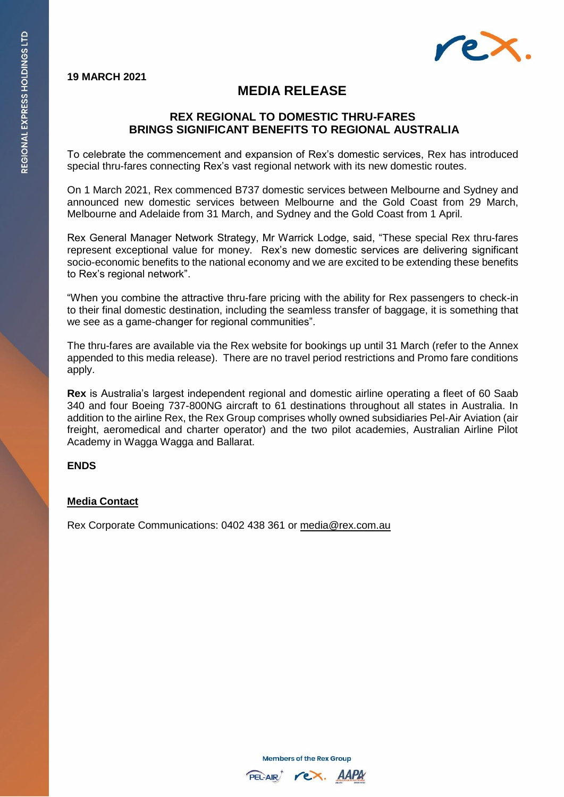

# **MEDIA RELEASE**

## **REX REGIONAL TO DOMESTIC THRU-FARES BRINGS SIGNIFICANT BENEFITS TO REGIONAL AUSTRALIA**

To celebrate the commencement and expansion of Rex's domestic services, Rex has introduced special thru-fares connecting Rex's vast regional network with its new domestic routes.

On 1 March 2021, Rex commenced B737 domestic services between Melbourne and Sydney and announced new domestic services between Melbourne and the Gold Coast from 29 March, Melbourne and Adelaide from 31 March, and Sydney and the Gold Coast from 1 April.

Rex General Manager Network Strategy, Mr Warrick Lodge, said, "These special Rex thru-fares represent exceptional value for money. Rex's new domestic services are delivering significant socio-economic benefits to the national economy and we are excited to be extending these benefits to Rex's regional network".

"When you combine the attractive thru-fare pricing with the ability for Rex passengers to check-in to their final domestic destination, including the seamless transfer of baggage, it is something that we see as a game-changer for regional communities".

The thru-fares are available via the Rex website for bookings up until 31 March (refer to the Annex appended to this media release). There are no travel period restrictions and Promo fare conditions apply.

**Rex** is Australia's largest independent regional and domestic airline operating a fleet of 60 Saab 340 and four Boeing 737-800NG aircraft to 61 destinations throughout all states in Australia. In addition to the airline Rex, the Rex Group comprises wholly owned subsidiaries Pel-Air Aviation (air freight, aeromedical and charter operator) and the two pilot academies, Australian Airline Pilot Academy in Wagga Wagga and Ballarat.

#### **ENDS**

### **Media Contact**

Rex Corporate Communications: 0402 438 361 or [media@rex.com.au](mailto:media@rex.com.au)

**Members of the Rex Group**